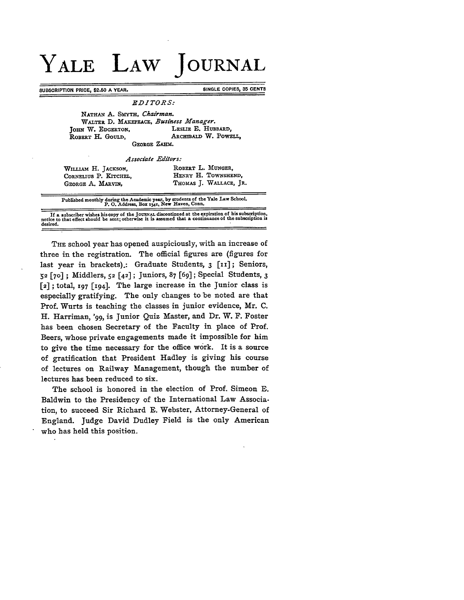# **YALE LAW JOURNAL**

SUBSCRIPTION PRICE, \$2.50 A YEAR. SINGLE COPIES, 35 CENTS

#### *EDITORS:*

*NATHAm* **A.** *SYTH, Chairman.* **WALTER D.** MAXEPEACE, *Business Manager.* JOHN W. EDGERTON,<br>ROBERT **H. GOULD**, **ROBERT** H. **GOULD, ARC IAlD** W. **POwELL, GEORGE ZAHM.**

# *Associate Editors:*

| WILLIAM H. JACKSON,   | ROBERT L. MUNGER.      |
|-----------------------|------------------------|
| CORNELIUS P. KITCHEL. | HENRY H. TOWNSHEND.    |
| GEORGE A. MARVIN,     | THOMAS J. WALLACE, JR. |

Published monthly during the Academic year, **by** students of the Yale Law School P. **O.** Address, Box **x34x,** New Haven, **Conn.**

If a subscriber wishes his copy of the JOURNAL discontinued at the expiration of his subscription, notice to that effect should be sent; otherwise it is assumed that a continuance of the subscription is desired.

**THE** school year has opened auspiciously, with an increase of three in the registration. The official figures are (figures for last year in brackets).: Graduate Students, 3 **[1i];** Seniors, **52 [70]** ; Middlers, **52** [42]; Juniors, **87 [69];** Special Students, **3 [2] ;** total, **I97** [i94]. The large increase in the Junior class is especially gratifying. The only changes to be noted are that Prof. Wurts is teaching the classes in junior evidence, Mr. **C.** H. Harriman, **'99,** is Junior Quiz Master, and Dr. W. F. Foster has been chosen Secretary of the Faculty in place of Prof. Beers, whose private engagements made it impossible for him to give the time necessary for the office work. It is a source of gratification that President Hadley is giving his course of lectures on Railway Management, though the number of lectures has been reduced to six.

The school is honored in the election of Prof. Simeon **E.** Baldwin to the Presidency of the International Law Associa. tion, to succeed Sir Richard **E.** Webster, Attorney-General of England. Judge David Dudley Field is the only American who has held this position.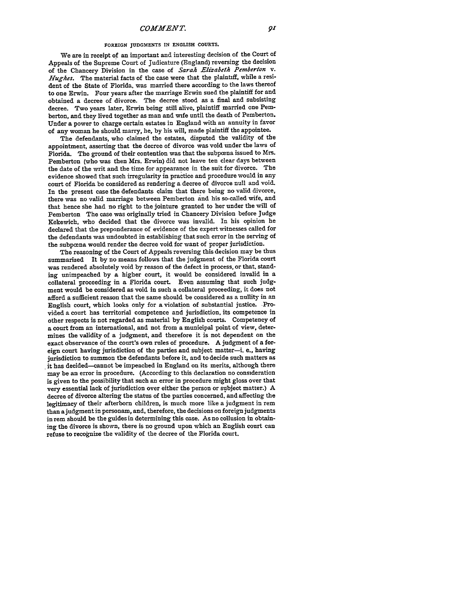### *COMMENT.*

# FOREIGN **JUDGMENTS IN ENGLISH COURTS.**

We are in receipt of an important and interesting decision of the Court of Appeals of the Supreme Court of Judicature (England) reversing the decision of the Chancery Division in the case of *Sarah Elizabeth Pemberton v. Hughes.* The material facts of the case were that the plaintiff, while a resident of the State of Florida. was married there according to the laws thereof to one Erwin. Four years after the marriage Erwin sued the plaintiff for and obtained a decree of divorce. The decree stood as a final and subsisting decree. Two years later, Erwin being still alive, plaintiff married one Pemberton, and they lived together as man and wife until the death of Pemberton. Under a power to charge certain estates in England with an annuity in favor of any woman he should marry, he, **by** his will, made plaintiff the appointee.

The defendants, who claimed the estates, disputed the validity of the appointment, asserting that the decree of divorce was void under the laws of Florida. The ground of their contention was that the subpcena issued to Mrs. Pemberton (who was then Mrs. Erwin) did not leave ten clear days between the date of the writ and the time for appearance in the suit for divorce. The evidence showed that such irregularity in practice and procedure would in any court of Florida be considered as rendering a decree of divorce null and void. In the present case the defendants claim that there being no valid divorce, there was no valid marriage between Pemberton and his so-called wife, and that hence she had no right to the jointure granted to her under the will of Pemberton The case was originally tried in Chancery Division before Judge Kekewich, who decided that the divorce was invalid. In his opinion he declared that the preponderance of evidence of the expert witnesses called for the defendants was undoubted in establishing that such error in the serving of the subpoena would render the decree void for want of proper jurisdiction.

The reasoning of the Court of Appeals reversing this decision may be thus summarized It by no means follows that the judgment of the Florida court was rendered absolutely void by reason of the defect in process, or that. standing unimpeached by a higher court, it would be considered invalid in a collateral proceeding in a Florida court. Even assuming that such judgment would be considered as void in such a collateral proceeding, it does not afford a sufficient reason that the same should be considered as a nullity in an English court, which looks only for a violation of substantial justice. Provided a court has territorial competence and jurisdiction, its competence in other respects is not regarded as material by English courts. Competency of a court from an international, and not from a municipal point of view, determines the validity of a judgment, and therefore it is not dependent on the exact observance of the court's own rules of procedure. **A** judgment of a foreign court having jurisdiction of the parties and subject matter-i. e., having jurisdiction to summon the defendants before it, and to decide such matters as it has decided--cannot be impeached in England on its merits, although there may be an error in procedure. (According to this declaration no consideration is given to the possibility that such an error in procedure might gloss over that very essential lack of jurisdiction over either the person or subject matter.) A decree of divorce altering the status of the parties concerned, and affecting the legitimacy of their afterborn children, is much more like a judgment in rem than a judgment in personam, and, therefore, the decisions on foreign judgments in rem should be the guides in determining this case. As no collusion in obtaining the divorce is shown, there is no ground upon which an English court can refuse to recognize the validity of the decree of the Florida court.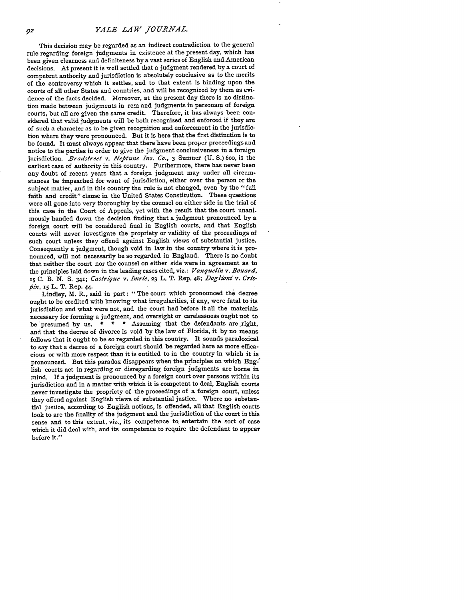*YALE LA W JO URNAL.*

This decision may be regarded as an indirect contradiction to the general rule regarding foreign judgments in existence at the present day, which has been given clearness and definiteness by a vast series of English and American decisions. At present it is well settled that a judgment rendered **by** a court of competent authority and jurisdiction is absolutely conclusive as to the merits of the controversy which it settles, and to that extent is binding upon the courts of all other States and countries, and will be recognized by them as evidence of the facts decided. Moreover, at the present day there is no distinction made between judgments in rem and judgments in personam of foreign courts, but all are given the same credit. Therefore, it has always been considered that valid judgments will be both recognized and enforced if they are of such a character as to be given recognition and enforcement in the jurisdiction where they were pronounced. But it is here that the first distinction is to be found. It must always appear that there have been proper proceedings and notice to the parties in order to give the judgment conclusiveness in a foreign jurisdiction. *Bradstreet v. Neptune Ins. Co.*, 3 Sumner (U. S.) 600, is the earliest case of authority in this country. Furthermore, there has never been any doubt of recent years that a foreign judgment may under all circumstances be impeached for want of jurisdiction, either over the person or the subject matter, and in this country the rule is not changed, even by the "full faith and credit" clause in the United States Constitution. These questions were all gone into very thoroughly by the counsel on either side in the trial of this case in the Court of Appeals, yet with the result that the court unanimously handed down the decision finding that a judgment pronounced by a foreign court will be considered final in English courts, and that English courts will never investigate the propriety or validity of the proceedings of such court unless they offend against English views of substantial justice. Consequently a judgment, though void in law in the country where it is pronounced, will not necessarily be so regarded in England. There is no doubt that neither the court nor the counsel on either side were in agreement as to the principles laid down in the leading cases cited, viz.: *Vanquelin v. Bouard,* **15 C.** B. N. **S.** 341; *Castriue v. Inrie,* **23** L. T. Rep. 48; *Doglioni v. Cris-Pin,* **15** L. T. Rep. **44.**

Lindley, M. R., said in part: "The court which pronounced the decree ought to be credited with knowing what irregularities, if any, were fatal to its jurisdiction and what were not, and the court had before it all the materials necessary for forming a judgment, and oversight or carelessness ought not to be presumed by us. **\* \* \*** Assuming that the defendants are .right, and that the decree of divorce is void by the law of Florida, it by no means follows that it ought to be so regarded in this country. It sounds paradoxical to say that a decree of a foreign court should be regarded here as more efficacious or with more respect than it is entitled to in the country in which it is pronounced. But this paradox disappears when the principles on which Eng-' lish courts act in regarding or disregarding foreign judgments are borne in mind. If a judgment is pronounced by a foreign court over persons within its jurisdiction and in a matter with which it is competent to deal, English courts never investigate the propriety of the proceedings of a foreign court, unless they offend against English views of substantial justice. Where no substantial justice, according to English notions, is offended, all that English courts look to are the finality of the judgment and the jurisdiction of the court in this sense and to this extent, viz., its competence to entertain the sort of case which it did deal with, and its competence to require the defendant to appear before it."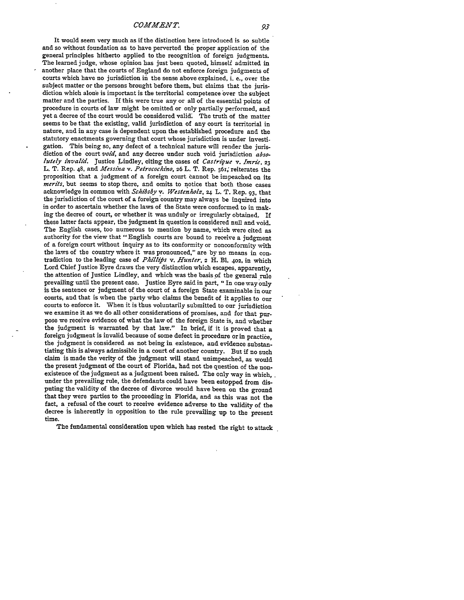It would seem very much as if the distinction here introduced is so subtle and so without foundation as to have perverted the proper application of the general principles hitherto applied to the recognition of foreign judgments. The learned judge, whose opinion has just been quoted, himself admitted in another place that the courts of England do not enforce foreign judgments of courts which have no jurisdiction in the sense above explained, i. e., over the subject matter or the persons brought before them, but claims **that** the jurisdiction which alone is important is the territorial competence over the subject matter and the parties. If this were true any or all of the essential points of procedure in courts of law might be omitted or only partially performed, and yet a decree of the court would be considered valid. The truth of the matter seems to be that the existing, valid jurisdiction of any court is territorial in nature, and in any case is dependent upon the established procedure and the statutory enactments governing that court whose jurisdiction is under investigation. This being so, any defect of a technical nature will render the jurisdiction of the court *void,* and any decree under such void jurisdiction *absolutely invalid.* Justice Lindley, citing the cases of *Castrique v. Zmrie,* **<sup>23</sup>** L. T. Rep. 48. and *Messina v. Petrocochino,* **26** L. T. Rep. 561; reiterates the proposition that a judgment of a foreign court cannot be impeached on its *merits,* but seems to stop there, and omits to notice that both those cases acknowledge in common with *Schibsby v. Westenholz,* **24** L. T. Rep. 93, that the jurisdiction of the court of a foreign country may always be inquired into in order to ascertain whether the laws of the State were conformed to in making the decree of court, or whether it was unduly or irregularly obtained. If these latter facts appear, the judgment in question is considered null and void. The English cases, too numerous to mention by name, which were cited as authority for the view that "English courts are bound to receive a judgment of a foreign court without inquiry as to its conformity or nonconformity with the laws of the country where it was pronounced," are by no means in contradiction to the leading case of *Phillips v. Hunter*, 2 H. Bl. 402, in which Lord Chief Justice Eyre draws the very distinction which escapes, apparently, the attention of Justice Lindley, and which was the basis **of** the general rule prevailing until the present case. Justice Eyre said in part, "In one way only is the sentence or judgment of the court of a foreign State examinable in our courts, and that is when the party who claims the benefit of it applies to our courts to enforce it. When it is thus voluntarily submitted to our jurisdiction we examine it as we do all other considerations of promises, and for that purpose we receive evidence of what the law of the foreign State is, and whether the judgment is warranted by that law." In brief, if it is proved that a foreign judgment is invalid because of some defect in procedure or in practice, the judgment is considered as not being in existence, and evidence substantiating this is always admissible in a court of another country. But if no such claim is made the verity of the judgment will stand unimpeached, as would the present judgment of the court of Florida, had not the question of the nonexistence of the judgment as a judgment been raised. The only way in which, under the prevailing rule, the defendants could have been estopped from disputing the validity of the decree of divorce would have been on the ground that they were parties to the proceeding in Florida, and as this was not the fact, a refusal of the court to receive evidence adverse to the validity of the decree is inherently in opposition to the rule prevailing up to the present time.

The fundamental consideration upon which has rested the right to attack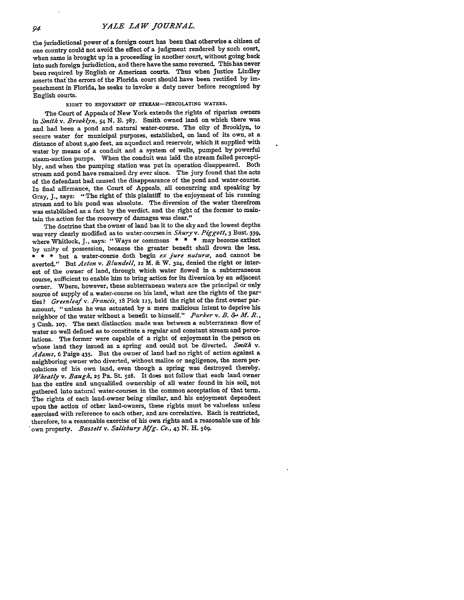the jurisdictional power of a foreign court has been that otherwise a citizen of one country could not avoid the effect of a judgment rendered **by** such court, when same is brought up in a proceeding in another court, without going back into such foreign jurisdiction, and there have the same reversed. This has never been required **by** English or American courts. Thus when Justice Lindley asserts thaf the errors of the Florida court should have been rectified **by** impeachment in Florida, he seeks to invoke a duty never before recognized **by** English courts.

## **RIGHT TO ENJOYMENT OF** STREAM-PERCOLATING WATERS.

The Court of Appeals of New York extends the rights of riparian owners in *Smith v. Brooklyn,* 54 **N. E. 787.** Smith owned land on which there was and had been a pond and natural water-course. The city of Brooklyn, to secure water for municipal purposes, established, on land of its own, at a distance of about **2,400** feet. an aqueduct and reservoir, which it supplied with water **by** means of a conduit and a system of wells, pumped **by** powerful steam-suction pumps. When the conduit was laid the stream failed percepti**bly,** and when the pumping station was put in operation disappeared. Both stream and pond have remained dry ever since. The jury found that the acts of the defendant had caused the disappearance of the pond and water-course. In final affirmance, the Court of Appeals, all concurring and speaking **by** Gray, **J.,** says: "The right of this plaintiff to the enjoyment of his running stream and to his pond was absolute. The diversion of the water therefrom was established as a fact **by** the verdict, and the right of the former to maintain the action for the recovery of damages was clear."

The doctrine that the owner of land has it to the sky and the lowest depths was very clearly modified as to water-courses in *Shury v. Piggott,* 3 Bust. 339, where Whitlock, J., says: "Ways or commons \* \* \* may become extinct by unity of possession, because the greater benefit shall drown the less. \* **\* \*** but a water-course doth begin *ex jure nature,* and cannot be averted." But *Acton v. Blundell,* 12 M. & W. 324, denied the right or interest of the owner of land, through which water flowed in a subterraneous course, sufficient to enable him to bring action for its diversion by an adjacent owner. Where, however, these subterranean waters are the principal or only source of supply of a water-course on his land, what are the rights of the parties? *Greenleafv. Francis,* I8 Pick **117,** held the right of the first owner paramount, "unless he was actuated by a mere malicious intent to deprive his neighbor of the water without a benefit to himself." *Parker v. B. &- M. R.,* 3 Cush. **107.** The next distinction made was between a subterranean flow of water so well defined as to constitute a regular and constant stream and percolations. The former were capable of a right of enjoyment in the person on whose land they issued as a spring and could not be diverted. *Smith v. Adams, 6* Paige 435. But the owner of land had no right of action against a neighboring owner who diverted, without malice or negligence, the mere percolations of his own land, even though a spring was destroyed thereby. *Wheatly v. Baugh,* **25** Pa. St. **528.** It does not follow that each land owner has the entire and unqualified ownership of all water found in his soil, not gathered into natural water-courses in the common acceptation of that term. The rights of each land-owner being similar, and his enjoyment dependent upon the action of other land-owners, these rights must be valueless unless exercised with reference to each other, and are correlative. Each is restricted, therefore, to a reasonable exercise of his own rights and a reasonable use of his own property. *Bassett v. Salisbury Mfg. Co., 43* **N.** H. **569.**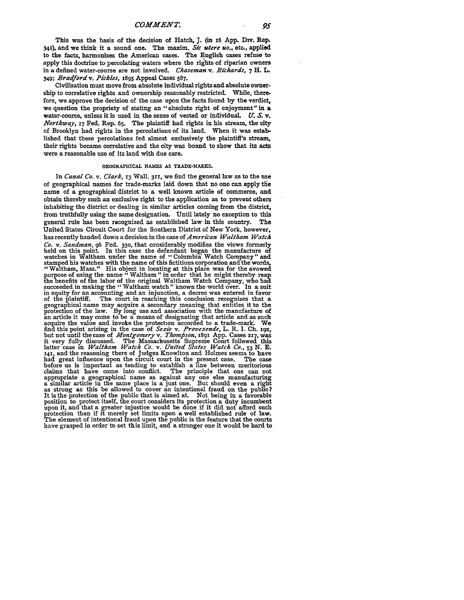This was the basis of the decision of Hatch, **J.** (in x8 **App.** Div. Rep. **341),** and we think it a sound one. The maxim, *Sic utere uo.,* etc., applied to the facts, harmonizes the American cases. The English cases refuse to apply this doctrine to percolating waters where the rights of riparian owners in a defined water-course are not involved. *Chaseman* v. *Richards,* 7 H. L. *349; Bradford v. Pickles,* i8g5 Appeal Cases **587.**

Civilization must move from absolute individual rights and absolute ownership to correlative rights and ownership reasonably restricted. While, therefore, we approve the decision of the case upon the facts found **by** the verdict, we question the propriety of stating an "absolute right of enjoyment" in a water-course, unless it is used in the sense of vested or individual. *U. S.* **v.** *Nortway,* **17** Fed. Rep. **65.** The plaintiff had rights in his stream, the city of Brooklyn had rights in the percolations of its land. When it was established that these percolations fed almost exclusively the plaintiff's stream, their rights became correlative and the city was bound to show that its acts were a reasonable use of its land with due care.

#### **GEOGRAPHICAL NAMES AS TRADE-MARKS.**

In *Canal Co. v. Clark,* **13** Wall. **311,** we find the general law as to the use of geographical names for trade-marks laid down that no one can apply the name of a geographical district to a well known article of commerce, and obtain thereby such an exclusive right to the application as to prevent others inhabiting the district or dealing in similar articles coming from the district, from truthfully using the same designation. Until lately no exception to this general **rule** has been recognized as established law in this country. The United States Circuit Court for the Southern District of New York, however, has recently handed down a decision in the case of *American Waltham Watch Co. v. Sandman,* **96** Fed. **330,** that considerably modifies the views formerly held on this point. In this case the defendant began the manufacture of watches in Waltham under the name of "Columbia' Watch Company" and<br>stamped his watches with the name of this fictitious corporation and the words,<br>"Waltham, Mass." His object in locating at this place was for the avowed purpose of using the name "Waltham" in order that he might thereby reap the benefits of the labor of the original Waltham Watch Company, who hail succeeded in making the "Waltham watch" known the world over. In a suit in equity for an accounting and an injunction, a decree was entered in favor of the plaintiff. The court in reaching this conclusion recognizes that a geographical name may acquire a secondary meaning that entitles it to the geographical name may acquire a secondary meaning that entitles it to the protection of the law. By long use and association with the manufacture of an article it may come to be a means of designating that article and a su acquire the value and invoke the protection accorded to a trade-mark. find this point arising in the case of *Sexio* **v.** *Provezende,* L. R. I. **Ch. 192,** but not until the case of *Montgomery* v. *Thompson*, 1891 App. Cases 217, was<br>it very fully discussed. The Massachusetts Supreme Court followed this<br>latter case in *Waltham Watch Co.* v. United States Watch Co., 53 N. E. 141, and the reasoning there of Judges Knowlton and Holmes seems to have had great influence upon the circuit court in the present case. The case<br>before us is important as tending to establish a line between meritorious before us is important as tending to establish a line between meritorious claims that have come into conflict. The principle that one can not appropriate a geographical name as against any one else manufacturing a similar article in the same place is a just one. But should even a right as strong as this be allowed to cover an intentional fraud on the public? It is the protection of the public that is aimed at. Not being in a favorable position to protect itself, the court considers its protection a duty incumbent upon it, and that a greater injustice would be done if it did not afford such protection than if it merely set limits upon a well established rule of law.<br>The element of intentional fraud upon the public is the feature tha have grasped in order to set this limit, and a stronger one it would be hard to